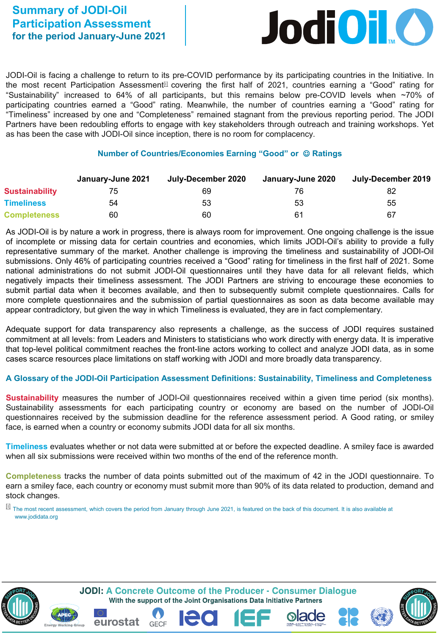

JODI-Oil is facing a challenge to return to its pre-COVID performance by its participating countries in the Initiative. In the most recent Participation Assessment $\mathbb{I}^{\parallel}$  covering the first half of 2021, countries earning a "Good" rating for "Sustainability" increased to 64% of all participants, but this remains below pre-COVID levels when ~70% of participating countries earned a "Good" rating. Meanwhile, the number of countries earning a "Good" rating for "Timeliness" increased by one and "Completeness" remained stagnant from the previous reporting period. The JODI Partners have been redoubling efforts to engage with key stakeholders through outreach and training workshops. Yet as has been the case with JODI-Oil since inception, there is no room for complacency.

## **Number of Countries/Economies Earning "Good" or Ratings**

|                       | January-June 2021 | July-December 2020 | January-June 2020 | July-December 2019 |
|-----------------------|-------------------|--------------------|-------------------|--------------------|
| <b>Sustainability</b> |                   | 69                 | 76                | 82                 |
| <b>Timeliness</b>     | 54                | 53                 | 53                | 55                 |
| <b>Completeness</b>   | 60                | 60                 | 61                | 67                 |

As JODI-Oil is by nature a work in progress, there is always room for improvement. One ongoing challenge is the issue of incomplete or missing data for certain countries and economies, which limits JODI-Oil's ability to provide a fully representative summary of the market. Another challenge is improving the timeliness and sustainability of JODI-Oil submissions. Only 46% of participating countries received a "Good" rating for timeliness in the first half of 2021. Some national administrations do not submit JODI-Oil questionnaires until they have data for all relevant fields, which negatively impacts their timeliness assessment. The JODI Partners are striving to encourage these economies to submit partial data when it becomes available, and then to subsequently submit complete questionnaires. Calls for more complete questionnaires and the submission of partial questionnaires as soon as data become available may appear contradictory, but given the way in which Timeliness is evaluated, they are in fact complementary.

Adequate support for data transparency also represents a challenge, as the success of JODI requires sustained commitment at all levels: from Leaders and Ministers to statisticians who work directly with energy data. It is imperative that top-level political commitment reaches the front-line actors working to collect and analyze JODI data, as in some cases scarce resources place limitations on staff working with JODI and more broadly data transparency.

## **A Glossary of the JODI-Oil Participation Assessment Definitions: Sustainability, Timeliness and Completeness**

**Sustainability** measures the number of JODI-Oil questionnaires received within a given time period (six months). Sustainability assessments for each participating country or economy are based on the number of JODI-Oil questionnaires received by the submission deadline for the reference assessment period. A Good rating, or smiley face, is earned when a country or economy submits JODI data for all six months.

**Timeliness** evaluates whether or not data were submitted at or before the expected deadline. A smiley face is awarded when all six submissions were received within two months of the end of the reference month.

**Completeness** tracks the number of data points submitted out of the maximum of 42 in the JODI questionnaire. To earn a smiley face, each country or economy must submit more than 90% of its data related to production, demand and stock changes.

 $\overline{u}$  The most recent assessment, which covers the period from January through June 2021, is featured on the back of this document. It is also available at www.jodidata.org